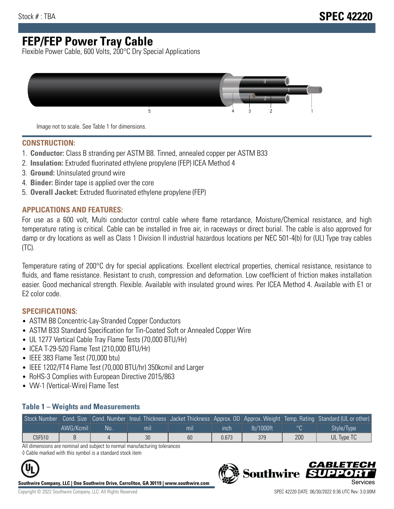# **FEP/FEP Power Tray Cable**

Flexible Power Cable, 600 Volts, 200°C Dry Special Applications



Image not to scale. See Table 1 for dimensions.

#### **CONSTRUCTION:**

- 1. **Conductor:** Class B stranding per ASTM B8. Tinned, annealed copper per ASTM B33
- 2. **Insulation:** Extruded fluorinated ethylene propylene (FEP) ICEA Method 4
- 3. **Ground:** Uninsulated ground wire
- 4. **Binder:** Binder tape is applied over the core
- 5. **Overall Jacket:** Extruded fluorinated ethylene propylene (FEP)

#### **APPLICATIONS AND FEATURES:**

For use as a 600 volt, Multi conductor control cable where flame retardance, Moisture/Chemical resistance, and high temperature rating is critical. Cable can be installed in free air, in raceways or direct burial. The cable is also approved for damp or dry locations as well as Class 1 Division II industrial hazardous locations per NEC 501-4(b) for (UL) Type tray cables (TC).

Temperature rating of 200°C dry for special applications. Excellent electrical properties, chemical resistance, resistance to fluids, and flame resistance. Resistant to crush, compression and deformation. Low coefficient of friction makes installation easier. Good mechanical strength. Flexible. Available with insulated ground wires. Per ICEA Method 4. Available with E1 or E2 color code.

### **SPECIFICATIONS:**

- ASTM B8 Concentric-Lay-Stranded Copper Conductors
- ASTM B33 Standard Specification for Tin-Coated Soft or Annealed Copper Wire
- UL 1277 Vertical Cable Tray Flame Tests (70,000 BTU/Hr)
- ICEA T-29-520 Flame Test (210,000 BTU/Hr)
- IEEE 383 Flame Test (70,000 btu)
- IEEE 1202/FT4 Flame Test (70,000 BTU/hr) 350kcmil and Larger
- RoHS-3 Complies with European Directive 2015/863
- VW-1 (Vertical-Wire) Flame Test

#### **Table 1 – Weights and Measurements**

| Stock Number |           |     |                |                |       |           |     | Cond. Size Cond. Number Insul. Thickness Jacket Thickness Approx. OD Approx. Weight Temp. Rating Standard (UL or other) |
|--------------|-----------|-----|----------------|----------------|-------|-----------|-----|-------------------------------------------------------------------------------------------------------------------------|
|              | AWG/Kcmil | No. | m <sub>l</sub> | m <sub>l</sub> | ınch  | lb/1000ft |     | Style/Type                                                                                                              |
| C5F510       |           |     | 30             | 60             | 0.673 | 379       | 200 | UL Type TC                                                                                                              |

All dimensions are nominal and subject to normal manufacturing tolerances ◊ Cable marked with this symbol is a standard stock item



**Southwire Company, LLC | One Southwire Drive, Carrollton, GA 30119 | www.southwire.com**